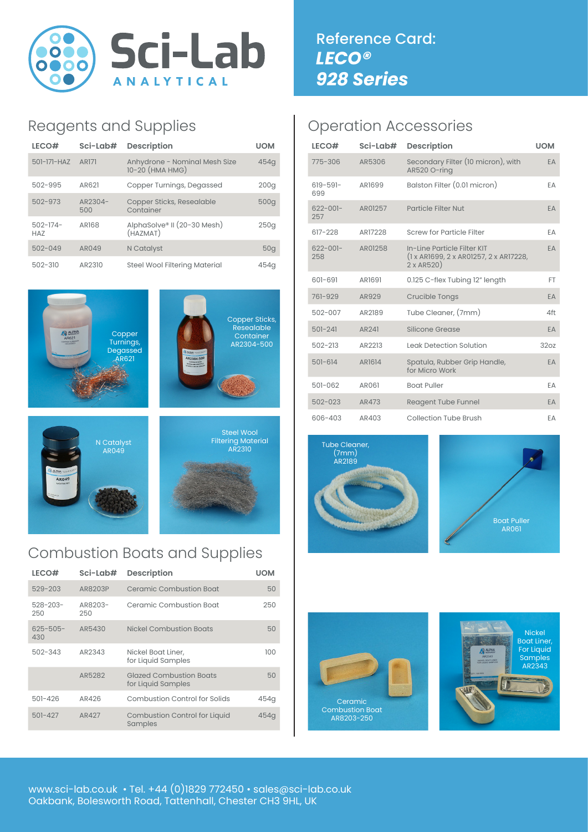

### Reagents and Supplies

| LECO#                       | Sci-Lab#       | <b>Description</b>                               | <b>UOM</b> |
|-----------------------------|----------------|--------------------------------------------------|------------|
| 501-171-HAZ AR171           |                | Anhydrone - Nominal Mesh Size<br>10-20 (HMA HMG) | 454q       |
| 502-995                     | AR621          | Copper Turnings, Degassed                        | 200q       |
| $502 - 973$                 | AR2304-<br>500 | Copper Sticks, Resealable<br>Container           | 500g       |
| $502 - 174 -$<br><b>HAZ</b> | AR168          | AlphaSolve® II (20-30 Mesh)<br>(HAZMAT)          | 250q       |
| $502 - 049$                 | AR049          | N Catalyst                                       | 50q        |
| $502 - 310$                 | AR2310         | Steel Wool Filtering Material                    | 454q       |









# Combustion Boats and Supplies

| LECO#                | Sci-Lab#       | <b>Description</b>                                   | <b>UOM</b> |
|----------------------|----------------|------------------------------------------------------|------------|
| $529 - 203$          | AR8203P        | Ceramic Combustion Boat                              | 50         |
| $528 - 203 -$<br>250 | AR8203-<br>250 | Ceramic Combustion Boat                              | 250        |
| $625 - 505 -$<br>430 | AR5430         | Nickel Combustion Boats                              | 50         |
| 502-343              | AR2343         | Nickel Boat Liner,<br>for Liquid Samples             | 100        |
|                      | AR5282         | <b>Glazed Combustion Boats</b><br>for Liquid Samples | 50         |
| $501 - 426$          | AR426          | Combustion Control for Solids                        | 454q       |
| $501 - 427$          | AR427          | Combustion Control for Liquid<br>Samples             | 454q       |

# Reference Card: *LECO® 928 Series*

### Operation Accessories

| LECO#                | $Sci-Lab#$ | <b>Description</b>                                                                        | <b>UOM</b> |
|----------------------|------------|-------------------------------------------------------------------------------------------|------------|
| 775-306              | AR5306     | Secondary Filter (10 micron), with<br>AR520 O-ring                                        | EA         |
| $619 - 591 -$<br>699 | AR1699     | Balston Filter (0.01 micron)                                                              | EA         |
| $622 - 001 -$<br>257 | AR01257    | Particle Filter Nut                                                                       | EA         |
| 617-228              | AR17228    | Screw for Particle Filter                                                                 | EA         |
| $622 - 001 -$<br>258 | AR01258    | In-Line Particle Filter KIT<br>(1 x AR1699, 2 x AR01257, 2 x AR17228,<br>$2 \times AR520$ | EA         |
| 601-691              | AR1691     | 0.125 C-flex Tubing 12" length                                                            | FT.        |
| 761-929              | AR929      | <b>Crucible Tongs</b>                                                                     | EA         |
| $502 - 007$          | AR2189     | Tube Cleaner, (7mm)                                                                       | 4ft        |
| $501 - 241$          | AR241      | <b>Silicone Grease</b>                                                                    | EA         |
| $502 - 213$          | AR2213     | <b>Leak Detection Solution</b>                                                            | 32oz       |
| $501 - 614$          | AR1614     | Spatula, Rubber Grip Handle,<br>for Micro Work                                            | EA         |
| 501-062              | AR061      | <b>Boat Puller</b>                                                                        | EA         |
| $502 - 023$          | AR473      | Reagent Tube Funnel                                                                       | EA         |
| 606-403              | AR403      | Collection Tube Brush                                                                     | EA         |

![](_page_0_Picture_12.jpeg)

![](_page_0_Picture_13.jpeg)

![](_page_0_Picture_14.jpeg)

![](_page_0_Picture_15.jpeg)